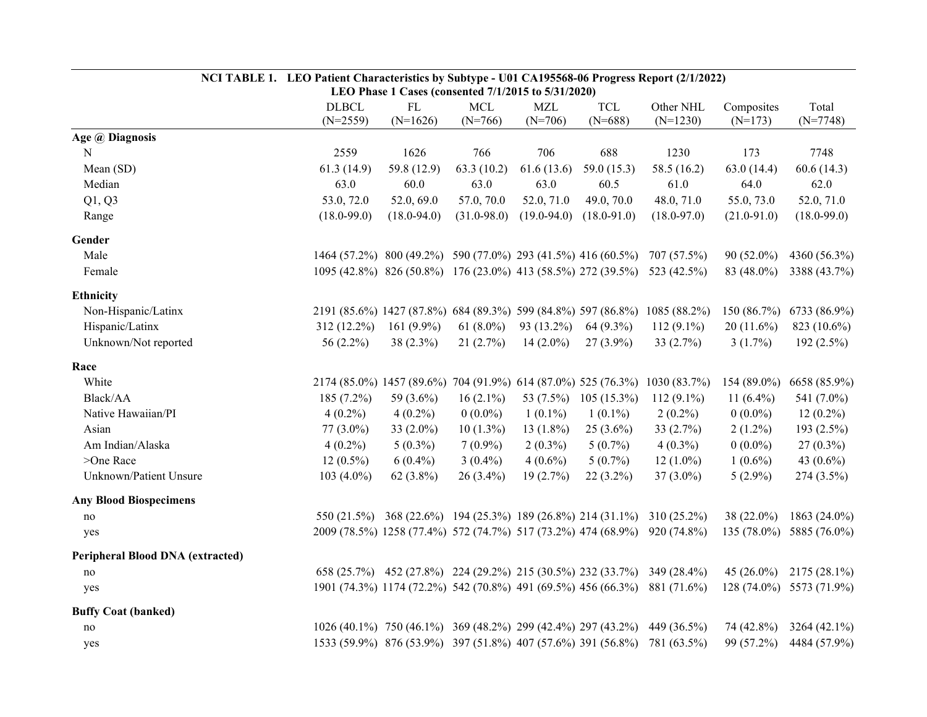|                                  | NCI TABLE 1. LEO Patient Characteristics by Subtype - U01 CA195568-06 Progress Report (2/1/2022)<br>LEO Phase 1 Cases (consented 7/1/2015 to 5/31/2020) |                                                                         |                 |                 |                 |                 |                 |                          |  |  |
|----------------------------------|---------------------------------------------------------------------------------------------------------------------------------------------------------|-------------------------------------------------------------------------|-----------------|-----------------|-----------------|-----------------|-----------------|--------------------------|--|--|
|                                  | <b>DLBCL</b>                                                                                                                                            | FL                                                                      | <b>MCL</b>      | <b>MZL</b>      | <b>TCL</b>      | Other NHL       | Composites      | Total                    |  |  |
|                                  | $(N=2559)$                                                                                                                                              | $(N=1626)$                                                              | $(N=766)$       | $(N=706)$       | $(N=688)$       | $(N=1230)$      | $(N=173)$       | $(N=7748)$               |  |  |
| Age @ Diagnosis                  |                                                                                                                                                         |                                                                         |                 |                 |                 |                 |                 |                          |  |  |
| N                                | 2559                                                                                                                                                    | 1626                                                                    | 766             | 706             | 688             | 1230            | 173             | 7748                     |  |  |
| Mean (SD)                        | 61.3(14.9)                                                                                                                                              | 59.8 (12.9)                                                             | 63.3(10.2)      | 61.6(13.6)      | 59.0 $(15.3)$   | 58.5 (16.2)     | 63.0(14.4)      | 60.6(14.3)               |  |  |
| Median                           | 63.0                                                                                                                                                    | 60.0                                                                    | 63.0            | 63.0            | 60.5            | 61.0            | 64.0            | 62.0                     |  |  |
| Q1, Q3                           | 53.0, 72.0                                                                                                                                              | 52.0, 69.0                                                              | 57.0, 70.0      | 52.0, 71.0      | 49.0, 70.0      | 48.0, 71.0      | 55.0, 73.0      | 52.0, 71.0               |  |  |
| Range                            | $(18.0 - 99.0)$                                                                                                                                         | $(18.0 - 94.0)$                                                         | $(31.0 - 98.0)$ | $(19.0 - 94.0)$ | $(18.0 - 91.0)$ | $(18.0 - 97.0)$ | $(21.0 - 91.0)$ | $(18.0 - 99.0)$          |  |  |
| Gender                           |                                                                                                                                                         |                                                                         |                 |                 |                 |                 |                 |                          |  |  |
| Male                             |                                                                                                                                                         | 1464 (57.2%) 800 (49.2%) 590 (77.0%) 293 (41.5%) 416 (60.5%)            |                 |                 |                 | 707 (57.5%)     | $90(52.0\%)$    | 4360 (56.3%)             |  |  |
| Female                           |                                                                                                                                                         | 1095 (42.8%) 826 (50.8%) 176 (23.0%) 413 (58.5%) 272 (39.5%)            |                 |                 |                 | 523 (42.5%)     | 83 (48.0%)      | 3388 (43.7%)             |  |  |
| <b>Ethnicity</b>                 |                                                                                                                                                         |                                                                         |                 |                 |                 |                 |                 |                          |  |  |
| Non-Hispanic/Latinx              |                                                                                                                                                         | 2191 (85.6%) 1427 (87.8%) 684 (89.3%) 599 (84.8%) 597 (86.8%)           |                 |                 |                 | 1085 (88.2%)    |                 | 150 (86.7%) 6733 (86.9%) |  |  |
| Hispanic/Latinx                  | 312 (12.2%)                                                                                                                                             | 161 $(9.9\%)$                                                           | 61 $(8.0\%)$    | 93 (13.2%)      | 64 (9.3%)       | $112(9.1\%)$    | $20(11.6\%)$    | 823 (10.6%)              |  |  |
| Unknown/Not reported             | 56 (2.2%)                                                                                                                                               | $38(2.3\%)$                                                             | 21(2.7%)        | $14(2.0\%)$     | $27(3.9\%)$     | 33 $(2.7%)$     | $3(1.7\%)$      | 192(2.5%)                |  |  |
| Race                             |                                                                                                                                                         |                                                                         |                 |                 |                 |                 |                 |                          |  |  |
| White                            |                                                                                                                                                         | 2174 (85.0%) 1457 (89.6%) 704 (91.9%) 614 (87.0%) 525 (76.3%)           |                 |                 |                 | 1030 (83.7%)    | $154(89.0\%)$   | 6658 (85.9%)             |  |  |
| Black/AA                         | 185 (7.2%)                                                                                                                                              | 59 (3.6%)                                                               | $16(2.1\%)$     | 53 (7.5%)       | $105(15.3\%)$   | $112(9.1\%)$    | 11 $(6.4\%)$    | 541 (7.0%)               |  |  |
| Native Hawaiian/PI               | $4(0.2\%)$                                                                                                                                              | $4(0.2\%)$                                                              | $0(0.0\%)$      | $1(0.1\%)$      | $1(0.1\%)$      | $2(0.2\%)$      | $0(0.0\%)$      | $12(0.2\%)$              |  |  |
| Asian                            | $77(3.0\%)$                                                                                                                                             | 33 (2.0%)                                                               | $10(1.3\%)$     | 13 $(1.8\%)$    | $25(3.6\%)$     | 33 $(2.7%)$     | $2(1.2\%)$      | 193 (2.5%)               |  |  |
| Am Indian/Alaska                 | $4(0.2\%)$                                                                                                                                              | $5(0.3\%)$                                                              | $7(0.9\%)$      | $2(0.3\%)$      | $5(0.7\%)$      | $4(0.3\%)$      | $0(0.0\%)$      | $27(0.3\%)$              |  |  |
| >One Race                        | $12(0.5\%)$                                                                                                                                             | $6(0.4\%)$                                                              | $3(0.4\%)$      | $4(0.6\%)$      | $5(0.7\%)$      | $12(1.0\%)$     | $1(0.6\%)$      | 43 $(0.6\%)$             |  |  |
| Unknown/Patient Unsure           | $103(4.0\%)$                                                                                                                                            | 62 (3.8%)                                                               | 26 (3.4%)       | 19(2.7%)        | $22(3.2\%)$     | $37(3.0\%)$     | $5(2.9\%)$      | 274 (3.5%)               |  |  |
| <b>Any Blood Biospecimens</b>    |                                                                                                                                                         |                                                                         |                 |                 |                 |                 |                 |                          |  |  |
| no                               |                                                                                                                                                         | 550 (21.5%) 368 (22.6%) 194 (25.3%) 189 (26.8%) 214 (31.1%) 310 (25.2%) |                 |                 |                 |                 | 38 (22.0%)      | 1863 (24.0%)             |  |  |
| yes                              |                                                                                                                                                         | 2009 (78.5%) 1258 (77.4%) 572 (74.7%) 517 (73.2%) 474 (68.9%)           |                 |                 |                 | 920 (74.8%)     |                 | 135 (78.0%) 5885 (76.0%) |  |  |
| Peripheral Blood DNA (extracted) |                                                                                                                                                         |                                                                         |                 |                 |                 |                 |                 |                          |  |  |
| no                               |                                                                                                                                                         | 658 (25.7%) 452 (27.8%) 224 (29.2%) 215 (30.5%) 232 (33.7%) 349 (28.4%) |                 |                 |                 |                 |                 | 45 (26.0%) 2175 (28.1%)  |  |  |
| yes                              |                                                                                                                                                         | 1901 (74.3%) 1174 (72.2%) 542 (70.8%) 491 (69.5%) 456 (66.3%)           |                 |                 |                 | 881 (71.6%)     |                 | 128 (74.0%) 5573 (71.9%) |  |  |
| <b>Buffy Coat (banked)</b>       |                                                                                                                                                         |                                                                         |                 |                 |                 |                 |                 |                          |  |  |
| no                               |                                                                                                                                                         | 1026 (40.1%) 750 (46.1%) 369 (48.2%) 299 (42.4%) 297 (43.2%)            |                 |                 |                 | 449 (36.5%)     | 74 (42.8%)      | $3264(42.1\%)$           |  |  |
| yes                              |                                                                                                                                                         | 1533 (59.9%) 876 (53.9%) 397 (51.8%) 407 (57.6%) 391 (56.8%)            |                 |                 |                 | 781 (63.5%)     | 99 (57.2%)      | 4484 (57.9%)             |  |  |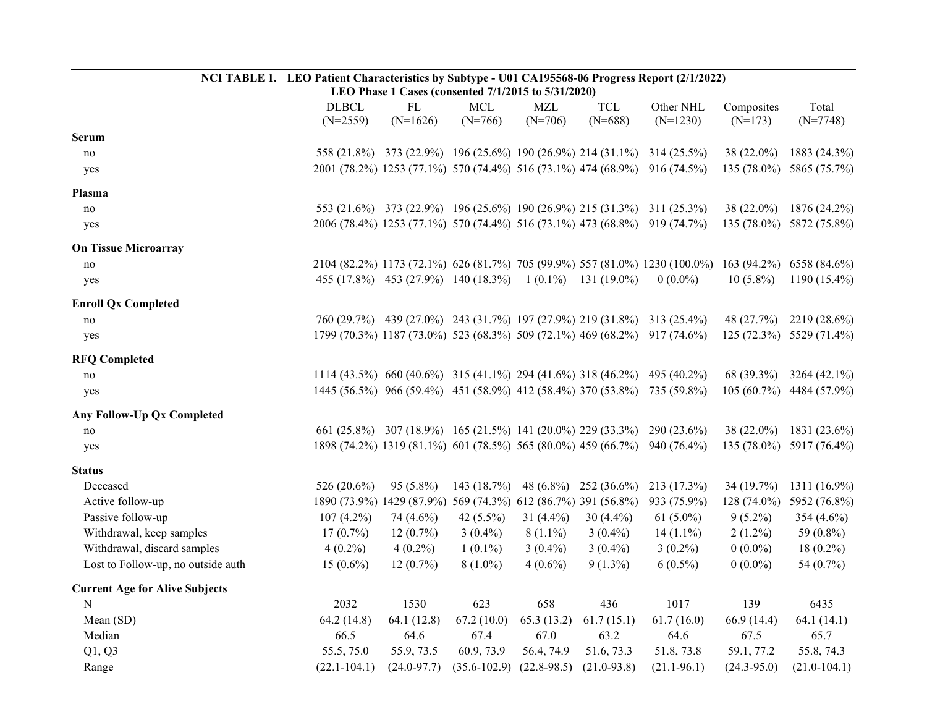|                                       | NCI TABLE 1. LEO Patient Characteristics by Subtype - U01 CA195568-06 Progress Report (2/1/2022)<br>LEO Phase 1 Cases (consented 7/1/2015 to 5/31/2020) |                                                                          |                         |                         |                         |                                                                             |                         |                          |  |  |
|---------------------------------------|---------------------------------------------------------------------------------------------------------------------------------------------------------|--------------------------------------------------------------------------|-------------------------|-------------------------|-------------------------|-----------------------------------------------------------------------------|-------------------------|--------------------------|--|--|
|                                       | <b>DLBCL</b><br>$(N=2559)$                                                                                                                              | ${\rm FL}$<br>$(N=1626)$                                                 | <b>MCL</b><br>$(N=766)$ | <b>MZL</b><br>$(N=706)$ | <b>TCL</b><br>$(N=688)$ | Other NHL<br>$(N=1230)$                                                     | Composites<br>$(N=173)$ | Total<br>$(N=7748)$      |  |  |
| <b>Serum</b>                          |                                                                                                                                                         |                                                                          |                         |                         |                         |                                                                             |                         |                          |  |  |
| no                                    |                                                                                                                                                         |                                                                          |                         |                         |                         | 558 (21.8%) 373 (22.9%) 196 (25.6%) 190 (26.9%) 214 (31.1%) 314 (25.5%)     | $38(22.0\%)$            | 1883 (24.3%)             |  |  |
| yes                                   |                                                                                                                                                         |                                                                          |                         |                         |                         | 2001 (78.2%) 1253 (77.1%) 570 (74.4%) 516 (73.1%) 474 (68.9%) 916 (74.5%)   | $135(78.0\%)$           | 5865 (75.7%)             |  |  |
| Plasma                                |                                                                                                                                                         |                                                                          |                         |                         |                         |                                                                             |                         |                          |  |  |
| no                                    |                                                                                                                                                         | 553 (21.6%) 373 (22.9%) 196 (25.6%) 190 (26.9%) 215 (31.3%) 311 (25.3%)  |                         |                         |                         |                                                                             | 38 (22.0%)              | 1876 (24.2%)             |  |  |
| yes                                   |                                                                                                                                                         |                                                                          |                         |                         |                         | 2006 (78.4%) 1253 (77.1%) 570 (74.4%) 516 (73.1%) 473 (68.8%) 919 (74.7%)   |                         | 135 (78.0%) 5872 (75.8%) |  |  |
| <b>On Tissue Microarray</b>           |                                                                                                                                                         |                                                                          |                         |                         |                         |                                                                             |                         |                          |  |  |
| no                                    |                                                                                                                                                         |                                                                          |                         |                         |                         | 2104 (82.2%) 1173 (72.1%) 626 (81.7%) 705 (99.9%) 557 (81.0%) 1230 (100.0%) | $163(94.2\%)$           | 6558 (84.6%)             |  |  |
| yes                                   |                                                                                                                                                         | 455 (17.8%) 453 (27.9%) 140 (18.3%) 1 (0.1%) 131 (19.0%)                 |                         |                         |                         | $0(0.0\%)$                                                                  | $10(5.8\%)$             | $1190(15.4\%)$           |  |  |
| <b>Enroll Qx Completed</b>            |                                                                                                                                                         |                                                                          |                         |                         |                         |                                                                             |                         |                          |  |  |
| no                                    |                                                                                                                                                         |                                                                          |                         |                         |                         | 760 (29.7%) 439 (27.0%) 243 (31.7%) 197 (27.9%) 219 (31.8%) 313 (25.4%)     | 48 (27.7%)              | 2219 (28.6%)             |  |  |
| yes                                   |                                                                                                                                                         |                                                                          |                         |                         |                         | 1799 (70.3%) 1187 (73.0%) 523 (68.3%) 509 (72.1%) 469 (68.2%) 917 (74.6%)   |                         | 125 (72.3%) 5529 (71.4%) |  |  |
| <b>RFQ Completed</b>                  |                                                                                                                                                         |                                                                          |                         |                         |                         |                                                                             |                         |                          |  |  |
| no                                    |                                                                                                                                                         | 1114 (43.5%) 660 (40.6%) 315 (41.1%) 294 (41.6%) 318 (46.2%) 495 (40.2%) |                         |                         |                         |                                                                             | 68 (39.3%)              | 3264 (42.1%)             |  |  |
| yes                                   |                                                                                                                                                         | 1445 (56.5%) 966 (59.4%) 451 (58.9%) 412 (58.4%) 370 (53.8%) 735 (59.8%) |                         |                         |                         |                                                                             |                         | 105 (60.7%) 4484 (57.9%) |  |  |
| <b>Any Follow-Up Qx Completed</b>     |                                                                                                                                                         |                                                                          |                         |                         |                         |                                                                             |                         |                          |  |  |
| no                                    |                                                                                                                                                         | 661 (25.8%) 307 (18.9%) 165 (21.5%) 141 (20.0%) 229 (33.3%) 290 (23.6%)  |                         |                         |                         |                                                                             | 38 (22.0%)              | 1831 (23.6%)             |  |  |
| yes                                   |                                                                                                                                                         |                                                                          |                         |                         |                         | 1898 (74.2%) 1319 (81.1%) 601 (78.5%) 565 (80.0%) 459 (66.7%) 940 (76.4%)   |                         | 135 (78.0%) 5917 (76.4%) |  |  |
| <b>Status</b>                         |                                                                                                                                                         |                                                                          |                         |                         |                         |                                                                             |                         |                          |  |  |
| Deceased                              | 526 (20.6%)                                                                                                                                             | $95(5.8\%)$                                                              | 143 $(18.7%)$           |                         | 48 (6.8%) 252 (36.6%)   | 213 (17.3%)                                                                 | 34 (19.7%)              | 1311 (16.9%)             |  |  |
| Active follow-up                      |                                                                                                                                                         | 1890 (73.9%) 1429 (87.9%) 569 (74.3%) 612 (86.7%) 391 (56.8%)            |                         |                         |                         | 933 (75.9%)                                                                 | $128(74.0\%)$           | 5952 (76.8%)             |  |  |
| Passive follow-up                     | $107(4.2\%)$                                                                                                                                            | 74 (4.6%)                                                                | 42 $(5.5\%)$            | 31 $(4.4\%)$            | 30 $(4.4\%)$            | 61 $(5.0\%)$                                                                | $9(5.2\%)$              | 354 (4.6%)               |  |  |
| Withdrawal, keep samples              | $17(0.7\%)$                                                                                                                                             | $12(0.7\%)$                                                              | $3(0.4\%)$              | $8(1.1\%)$              | $3(0.4\%)$              | $14(1.1\%)$                                                                 | $2(1.2\%)$              | 59 (0.8%)                |  |  |
| Withdrawal, discard samples           | $4(0.2\%)$                                                                                                                                              | $4(0.2\%)$                                                               | $1(0.1\%)$              | $3(0.4\%)$              | $3(0.4\%)$              | $3(0.2\%)$                                                                  | $0(0.0\%)$              | $18(0.2\%)$              |  |  |
| Lost to Follow-up, no outside auth    | $15(0.6\%)$                                                                                                                                             | $12(0.7\%)$                                                              | $8(1.0\%)$              | $4(0.6\%)$              | $9(1.3\%)$              | $6(0.5\%)$                                                                  | $0(0.0\%)$              | 54 (0.7%)                |  |  |
| <b>Current Age for Alive Subjects</b> |                                                                                                                                                         |                                                                          |                         |                         |                         |                                                                             |                         |                          |  |  |
| N                                     | 2032                                                                                                                                                    | 1530                                                                     | 623                     | 658                     | 436                     | 1017                                                                        | 139                     | 6435                     |  |  |
| Mean (SD)                             | 64.2(14.8)                                                                                                                                              | 64.1(12.8)                                                               | 67.2(10.0)              | 65.3(13.2)              | 61.7(15.1)              | 61.7(16.0)                                                                  | 66.9(14.4)              | 64.1(14.1)               |  |  |
| Median                                | 66.5                                                                                                                                                    | 64.6                                                                     | 67.4                    | 67.0                    | 63.2                    | 64.6                                                                        | 67.5                    | 65.7                     |  |  |
| Q1, Q3                                | 55.5, 75.0                                                                                                                                              | 55.9, 73.5                                                               | 60.9, 73.9              | 56.4, 74.9              | 51.6, 73.3              | 51.8, 73.8                                                                  | 59.1, 77.2              | 55.8, 74.3               |  |  |
| Range                                 | $(22.1 - 104.1)$                                                                                                                                        | $(24.0 - 97.7)$                                                          | $(35.6 - 102.9)$        | $(22.8-98.5)$           | $(21.0 - 93.8)$         | $(21.1-96.1)$                                                               | $(24.3 - 95.0)$         | $(21.0 - 104.1)$         |  |  |